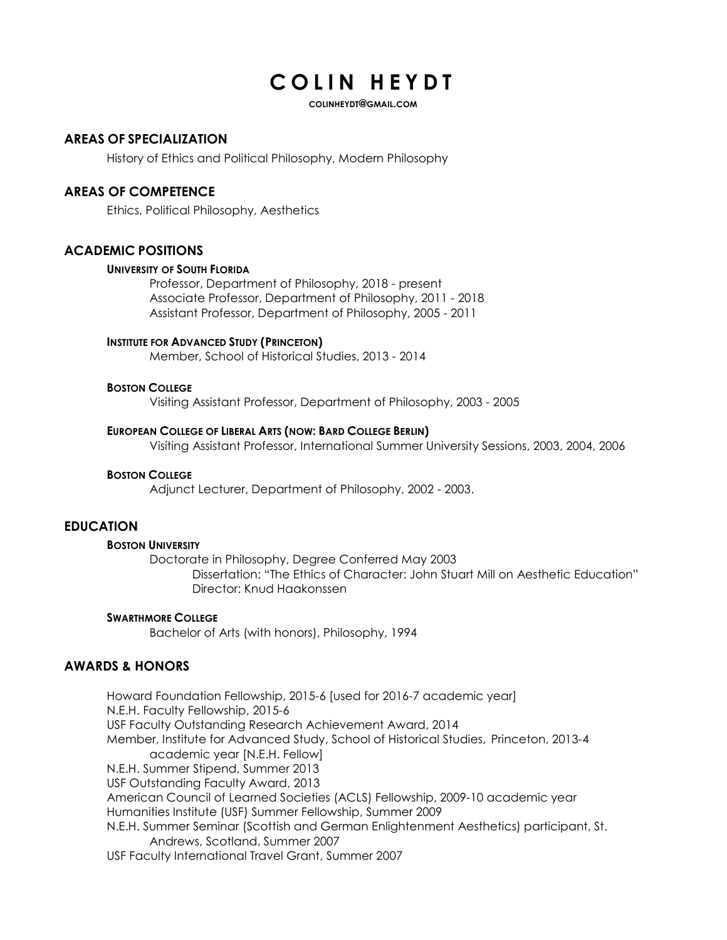# COLIN HEYDT

COLINHEYDT@GMAIL.COM

## AREAS OF SPECIALIZATION

History of Ethics and Political Philosophy, Modern Philosophy

## AREAS OF COMPETENCE

Ethics, Political Philosophy, Aesthetics

## ACADEMIC POSITIONS

#### UNIVERSITY OF SOUTH FLORIDA

Professor, Department of Philosophy, 2018 - present Associate Professor, Department of Philosophy, 2011 - 2018 Assistant Professor, Department of Philosophy, 2005 - 2011

#### INSTITUTE FOR ADVANCED STUDY (PRINCETON)

Member, School of Historical Studies, 2013 - 2014

#### BOSTON COLLEGE

Visiting Assistant Professor, Department of Philosophy, 2003 - 2005

#### EUROPEAN COLLEGE OF LIBERAL ARTS (NOW: BARD COLLEGE BERLIN)

Visiting Assistant Professor, International Summer University Sessions, 2003, 2004, 2006

#### BOSTON COLLEGE

Adjunct Lecturer, Department of Philosophy, 2002 - 2003.

## EDUCATION

#### BOSTON UNIVERSITY

Doctorate in Philosophy, Degree Conferred May 2003 Dissertation: "The Ethics of Character: John Stuart Mill on Aesthetic Education" Director: Knud Haakonssen

#### SWARTHMORE COLLEGE

Bachelor of Arts (with honors), Philosophy, 1994

# AWARDS & HONORS

Howard Foundation Fellowship, 2015-6 [used for 2016-7 academic year] N.E.H. Faculty Fellowship, 2015-6 USF Faculty Outstanding Research Achievement Award, 2014 Member, Institute for Advanced Study, School of Historical Studies, Princeton, 2013-4 academic year [N.E.H. Fellow] N.E.H. Summer Stipend, Summer 2013 USF Outstanding Faculty Award, 2013 American Council of Learned Societies (ACLS) Fellowship, 2009-10 academic year Humanities Institute (USF) Summer Fellowship, Summer 2009 N.E.H. Summer Seminar (Scottish and German Enlightenment Aesthetics) participant, St. Andrews, Scotland, Summer 2007 USF Faculty International Travel Grant, Summer 2007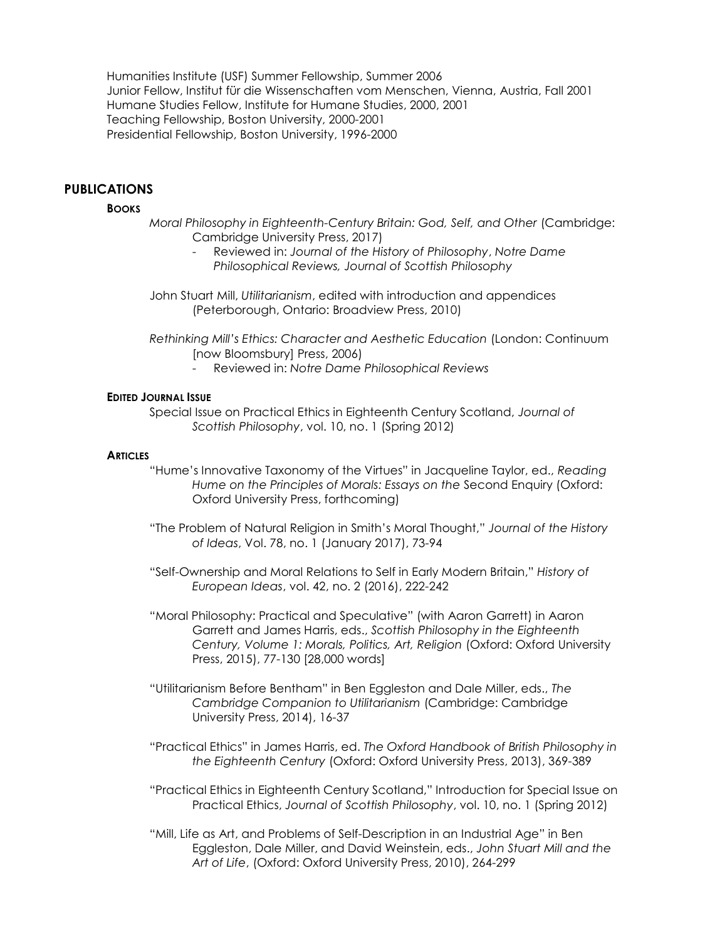Humanities Institute (USF) Summer Fellowship, Summer 2006 Junior Fellow, Institut für die Wissenschaften vom Menschen, Vienna, Austria, Fall 2001 Humane Studies Fellow, Institute for Humane Studies, 2000, 2001 Teaching Fellowship, Boston University, 2000-2001 Presidential Fellowship, Boston University, 1996-2000

# PUBLICATIONS

#### **BOOKS**

- Moral Philosophy in Eighteenth-Century Britain: God, Self, and Other (Cambridge: Cambridge University Press, 2017)
	- Reviewed in: Journal of the History of Philosophy, Notre Dame Philosophical Reviews, Journal of Scottish Philosophy
- John Stuart Mill, Utilitarianism, edited with introduction and appendices (Peterborough, Ontario: Broadview Press, 2010)
- Rethinking Mill's Ethics: Character and Aesthetic Education (London: Continuum [now Bloomsbury] Press, 2006)
	- Reviewed in: Notre Dame Philosophical Reviews

#### EDITED JOURNAL ISSUE

 Special Issue on Practical Ethics in Eighteenth Century Scotland, Journal of Scottish Philosophy, vol. 10, no. 1 (Spring 2012)

#### **ARTICLES**

- "Hume's Innovative Taxonomy of the Virtues" in Jacqueline Taylor, ed., Reading Hume on the Principles of Morals: Essays on the Second Enquiry (Oxford: Oxford University Press, forthcoming)
- "The Problem of Natural Religion in Smith's Moral Thought," Journal of the History of Ideas, Vol. 78, no. 1 (January 2017), 73-94
- "Self-Ownership and Moral Relations to Self in Early Modern Britain," History of European Ideas, vol. 42, no. 2 (2016), 222-242
- "Moral Philosophy: Practical and Speculative" (with Aaron Garrett) in Aaron Garrett and James Harris, eds., Scottish Philosophy in the Eighteenth Century, Volume 1: Morals, Politics, Art, Religion (Oxford: Oxford University Press, 2015), 77-130 [28,000 words]
- "Utilitarianism Before Bentham" in Ben Eggleston and Dale Miller, eds., The Cambridge Companion to Utilitarianism (Cambridge: Cambridge University Press, 2014), 16-37
- "Practical Ethics" in James Harris, ed. The Oxford Handbook of British Philosophy in the Eighteenth Century (Oxford: Oxford University Press, 2013), 369-389
- "Practical Ethics in Eighteenth Century Scotland," Introduction for Special Issue on Practical Ethics, Journal of Scottish Philosophy, vol. 10, no. 1 (Spring 2012)
- "Mill, Life as Art, and Problems of Self-Description in an Industrial Age" in Ben Eggleston, Dale Miller, and David Weinstein, eds., John Stuart Mill and the Art of Life, (Oxford: Oxford University Press, 2010), 264-299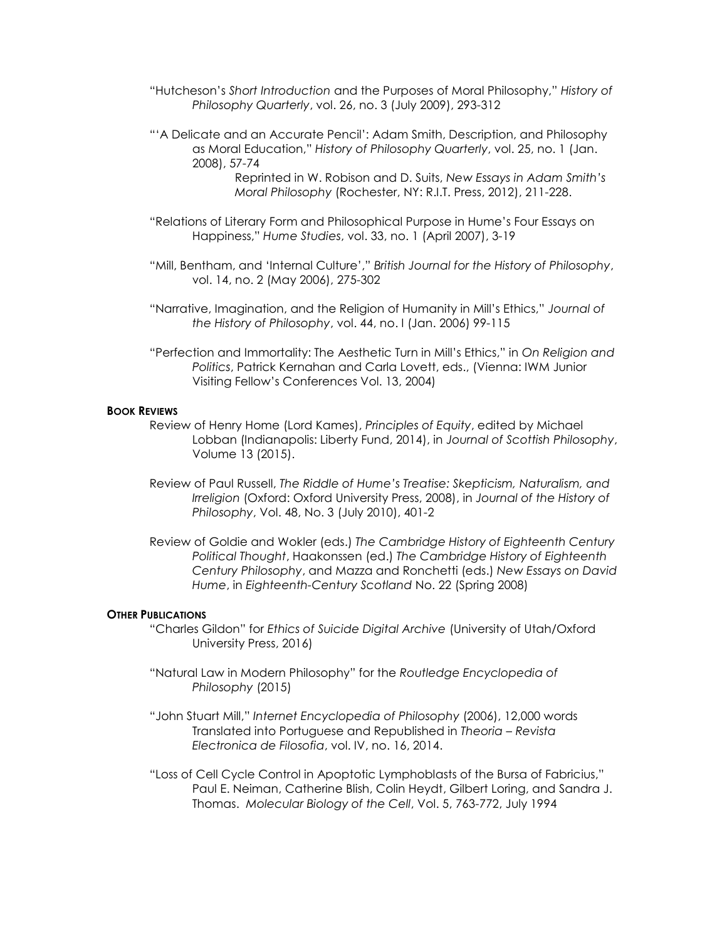- "Hutcheson's Short Introduction and the Purposes of Moral Philosophy," History of Philosophy Quarterly, vol. 26, no. 3 (July 2009), 293-312
- "'A Delicate and an Accurate Pencil': Adam Smith, Description, and Philosophy as Moral Education," History of Philosophy Quarterly, vol. 25, no. 1 (Jan. 2008), 57-74

 Reprinted in W. Robison and D. Suits, New Essays in Adam Smith's Moral Philosophy (Rochester, NY: R.I.T. Press, 2012), 211-228.

- "Relations of Literary Form and Philosophical Purpose in Hume's Four Essays on Happiness," Hume Studies, vol. 33, no. 1 (April 2007), 3-19
- "Mill, Bentham, and 'Internal Culture'," British Journal for the History of Philosophy, vol. 14, no. 2 (May 2006), 275-302
- "Narrative, Imagination, and the Religion of Humanity in Mill's Ethics," Journal of the History of Philosophy, vol. 44, no. I (Jan. 2006) 99-115
- "Perfection and Immortality: The Aesthetic Turn in Mill's Ethics," in On Religion and Politics, Patrick Kernahan and Carla Lovett, eds., (Vienna: IWM Junior Visiting Fellow's Conferences Vol. 13, 2004)

#### BOOK REVIEWS

- Review of Henry Home (Lord Kames), Principles of Equity, edited by Michael Lobban (Indianapolis: Liberty Fund, 2014), in Journal of Scottish Philosophy, Volume 13 (2015).
- Review of Paul Russell, The Riddle of Hume's Treatise: Skepticism, Naturalism, and Irreligion (Oxford: Oxford University Press, 2008), in Journal of the History of Philosophy, Vol. 48, No. 3 (July 2010), 401-2
- Review of Goldie and Wokler (eds.) The Cambridge History of Eighteenth Century Political Thought, Haakonssen (ed.) The Cambridge History of Eighteenth Century Philosophy, and Mazza and Ronchetti (eds.) New Essays on David Hume, in Eighteenth-Century Scotland No. 22 (Spring 2008)

#### OTHER PUBLICATIONS

- "Charles Gildon" for Ethics of Suicide Digital Archive (University of Utah/Oxford University Press, 2016)
- "Natural Law in Modern Philosophy" for the Routledge Encyclopedia of Philosophy (2015)
- "John Stuart Mill," Internet Encyclopedia of Philosophy (2006), 12,000 words Translated into Portuguese and Republished in Theoria – Revista Electronica de Filosofia, vol. IV, no. 16, 2014.
- "Loss of Cell Cycle Control in Apoptotic Lymphoblasts of the Bursa of Fabricius," Paul E. Neiman, Catherine Blish, Colin Heydt, Gilbert Loring, and Sandra J. Thomas. Molecular Biology of the Cell, Vol. 5, 763-772, July 1994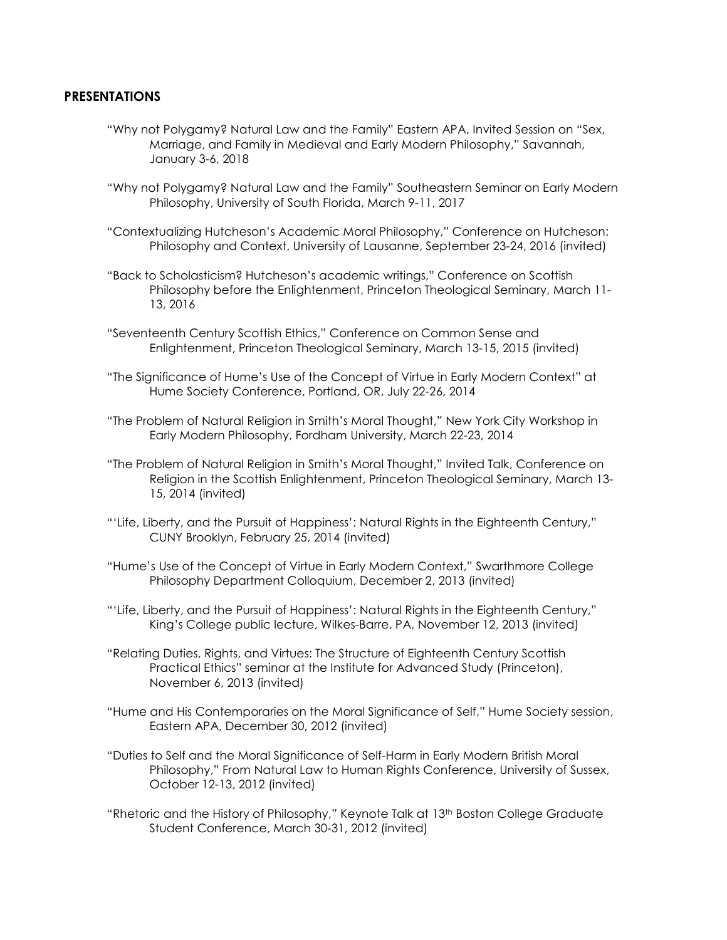## **PRESENTATIONS**

- "Why not Polygamy? Natural Law and the Family" Eastern APA, Invited Session on "Sex, Marriage, and Family in Medieval and Early Modern Philosophy," Savannah, January 3-6, 2018
- "Why not Polygamy? Natural Law and the Family" Southeastern Seminar on Early Modern Philosophy, University of South Florida, March 9-11, 2017
- "Contextualizing Hutcheson's Academic Moral Philosophy," Conference on Hutcheson: Philosophy and Context, University of Lausanne, September 23-24, 2016 (invited)
- "Back to Scholasticism? Hutcheson's academic writings," Conference on Scottish Philosophy before the Enlightenment, Princeton Theological Seminary, March 11- 13, 2016
- "Seventeenth Century Scottish Ethics," Conference on Common Sense and Enlightenment, Princeton Theological Seminary, March 13-15, 2015 (invited)
- "The Significance of Hume's Use of the Concept of Virtue in Early Modern Context" at Hume Society Conference, Portland, OR, July 22-26, 2014
- "The Problem of Natural Religion in Smith's Moral Thought," New York City Workshop in Early Modern Philosophy, Fordham University, March 22-23, 2014
- "The Problem of Natural Religion in Smith's Moral Thought," Invited Talk, Conference on Religion in the Scottish Enlightenment, Princeton Theological Seminary, March 13- 15, 2014 (invited)
- "'Life, Liberty, and the Pursuit of Happiness': Natural Rights in the Eighteenth Century," CUNY Brooklyn, February 25, 2014 (invited)
- "Hume's Use of the Concept of Virtue in Early Modern Context," Swarthmore College Philosophy Department Colloquium, December 2, 2013 (invited)
- "'Life, Liberty, and the Pursuit of Happiness': Natural Rights in the Eighteenth Century," King's College public lecture, Wilkes-Barre, PA, November 12, 2013 (invited)
- "Relating Duties, Rights, and Virtues: The Structure of Eighteenth Century Scottish Practical Ethics" seminar at the Institute for Advanced Study (Princeton), November 6, 2013 (invited)
- "Hume and His Contemporaries on the Moral Significance of Self," Hume Society session, Eastern APA, December 30, 2012 (invited)
- "Duties to Self and the Moral Significance of Self-Harm in Early Modern British Moral Philosophy," From Natural Law to Human Rights Conference, University of Sussex, October 12-13, 2012 (invited)
- "Rhetoric and the History of Philosophy," Keynote Talk at 13<sup>th</sup> Boston College Graduate Student Conference, March 30-31, 2012 (invited)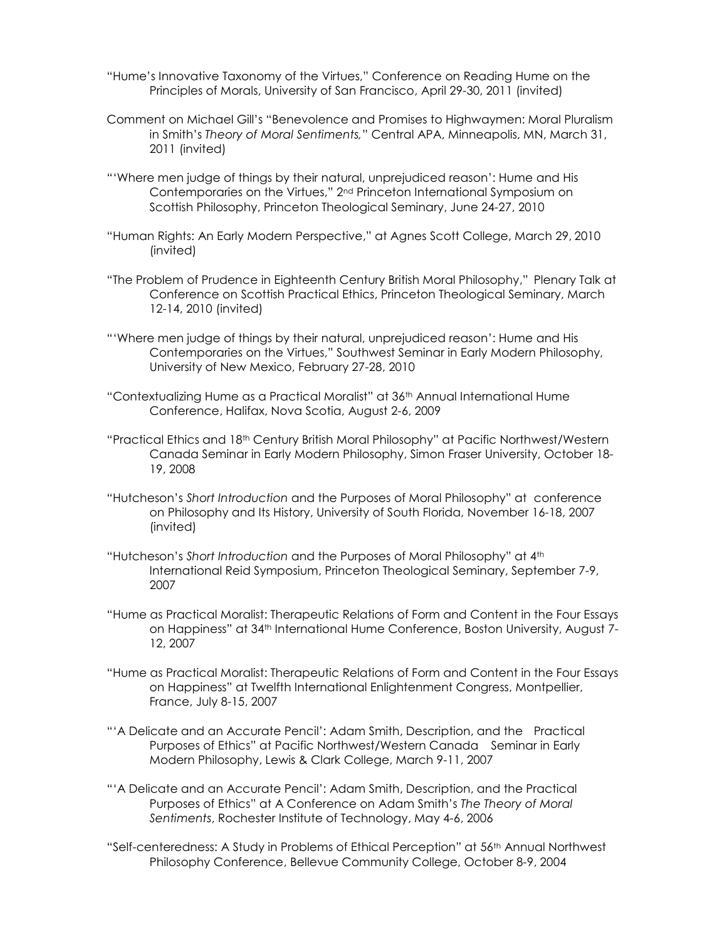- "Hume's Innovative Taxonomy of the Virtues," Conference on Reading Hume on the Principles of Morals, University of San Francisco, April 29-30, 2011 (invited)
- Comment on Michael Gill's "Benevolence and Promises to Highwaymen: Moral Pluralism in Smith's Theory of Moral Sentiments," Central APA, Minneapolis, MN, March 31, 2011 (invited)
- "'Where men judge of things by their natural, unprejudiced reason': Hume and His Contemporaries on the Virtues," 2nd Princeton International Symposium on Scottish Philosophy, Princeton Theological Seminary, June 24-27, 2010
- "Human Rights: An Early Modern Perspective," at Agnes Scott College, March 29, 2010 (invited)
- "The Problem of Prudence in Eighteenth Century British Moral Philosophy," Plenary Talk at Conference on Scottish Practical Ethics, Princeton Theological Seminary, March 12-14, 2010 (invited)
- "'Where men judge of things by their natural, unprejudiced reason': Hume and His Contemporaries on the Virtues," Southwest Seminar in Early Modern Philosophy, University of New Mexico, February 27-28, 2010
- "Contextualizing Hume as a Practical Moralist" at 36th Annual International Hume Conference, Halifax, Nova Scotia, August 2-6, 2009
- "Practical Ethics and 18th Century British Moral Philosophy" at Pacific Northwest/Western Canada Seminar in Early Modern Philosophy, Simon Fraser University, October 18- 19, 2008
- "Hutcheson's Short Introduction and the Purposes of Moral Philosophy" at conference on Philosophy and Its History, University of South Florida, November 16-18, 2007 (invited)
- "Hutcheson's Short Introduction and the Purposes of Moral Philosophy" at 4th International Reid Symposium, Princeton Theological Seminary, September 7-9, 2007
- "Hume as Practical Moralist: Therapeutic Relations of Form and Content in the Four Essays on Happiness" at 34th International Hume Conference, Boston University, August 7- 12, 2007
- "Hume as Practical Moralist: Therapeutic Relations of Form and Content in the Four Essays on Happiness" at Twelfth International Enlightenment Congress, Montpellier, France, July 8-15, 2007
- "'A Delicate and an Accurate Pencil': Adam Smith, Description, and the Practical Purposes of Ethics" at Pacific Northwest/Western Canada Seminar in Early Modern Philosophy, Lewis & Clark College, March 9-11, 2007
- "'A Delicate and an Accurate Pencil': Adam Smith, Description, and the Practical Purposes of Ethics" at A Conference on Adam Smith's The Theory of Moral Sentiments, Rochester Institute of Technology, May 4-6, 2006
- "Self-centeredness: A Study in Problems of Ethical Perception" at 56th Annual Northwest Philosophy Conference, Bellevue Community College, October 8-9, 2004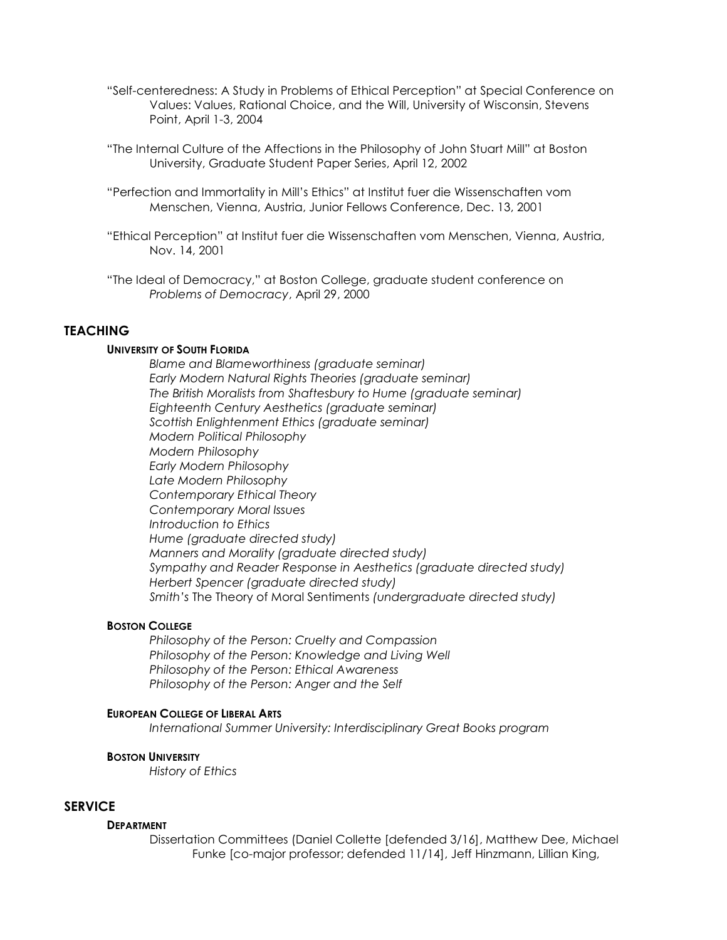- "Self-centeredness: A Study in Problems of Ethical Perception" at Special Conference on Values: Values, Rational Choice, and the Will, University of Wisconsin, Stevens Point, April 1-3, 2004
- "The Internal Culture of the Affections in the Philosophy of John Stuart Mill" at Boston University, Graduate Student Paper Series, April 12, 2002
- "Perfection and Immortality in Mill's Ethics" at Institut fuer die Wissenschaften vom Menschen, Vienna, Austria, Junior Fellows Conference, Dec. 13, 2001
- "Ethical Perception" at Institut fuer die Wissenschaften vom Menschen, Vienna, Austria, Nov. 14, 2001
- "The Ideal of Democracy," at Boston College, graduate student conference on Problems of Democracy, April 29, 2000

## **TEACHING**

#### UNIVERSITY OF SOUTH FLORIDA

Blame and Blameworthiness (graduate seminar) Early Modern Natural Rights Theories (graduate seminar) The British Moralists from Shaftesbury to Hume (graduate seminar) Eighteenth Century Aesthetics (graduate seminar) Scottish Enlightenment Ethics (graduate seminar) Modern Political Philosophy Modern Philosophy Early Modern Philosophy Late Modern Philosophy Contemporary Ethical Theory Contemporary Moral Issues Introduction to Ethics Hume (graduate directed study) Manners and Morality (graduate directed study) Sympathy and Reader Response in Aesthetics (graduate directed study) Herbert Spencer (graduate directed study) Smith's The Theory of Moral Sentiments (undergraduate directed study)

#### BOSTON COLLEGE

Philosophy of the Person: Cruelty and Compassion Philosophy of the Person: Knowledge and Living Well Philosophy of the Person: Ethical Awareness Philosophy of the Person: Anger and the Self

#### EUROPEAN COLLEGE OF LIBERAL ARTS

International Summer University: Interdisciplinary Great Books program

## BOSTON UNIVERSITY

History of Ethics

## **SERVICE**

#### **DEPARTMENT**

Dissertation Committees (Daniel Collette [defended 3/16], Matthew Dee, Michael Funke [co-major professor; defended 11/14], Jeff Hinzmann, Lillian King,